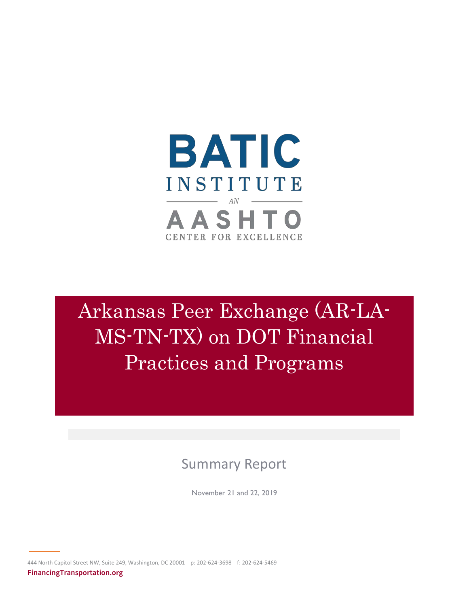

# Arkansas Peer Exchange (AR-LA-MS-TN-TX) on DOT Financial Practices and Programs

# Summary Report

November 21 and 22, 2019

444 North Capitol Street NW, Suite 249, Washington, DC 20001 p: 202-624-3698 f: 202-624-5469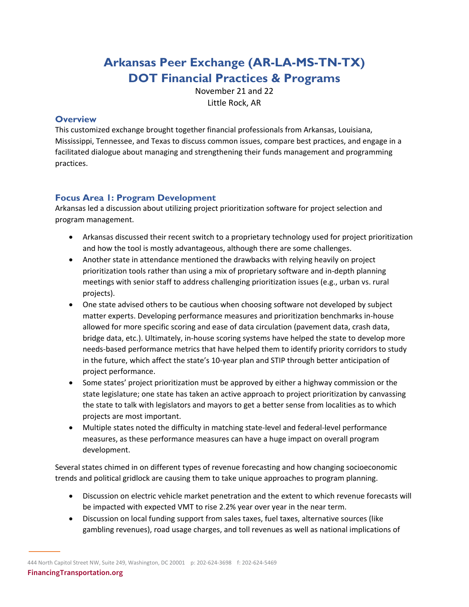# **Arkansas Peer Exchange (AR-LA-MS-TN-TX) DOT Financial Practices & Programs**

November 21 and 22 Little Rock, AR

#### **Overview**

This customized exchange brought together financial professionals from Arkansas, Louisiana, Mississippi, Tennessee, and Texas to discuss common issues, compare best practices, and engage in a facilitated dialogue about managing and strengthening their funds management and programming practices.

# **Focus Area 1: Program Development**

Arkansas led a discussion about utilizing project prioritization software for project selection and program management.

- Arkansas discussed their recent switch to a proprietary technology used for project prioritization and how the tool is mostly advantageous, although there are some challenges.
- Another state in attendance mentioned the drawbacks with relying heavily on project prioritization tools rather than using a mix of proprietary software and in-depth planning meetings with senior staff to address challenging prioritization issues (e.g., urban vs. rural projects).
- One state advised others to be cautious when choosing software not developed by subject matter experts. Developing performance measures and prioritization benchmarks in-house allowed for more specific scoring and ease of data circulation (pavement data, crash data, bridge data, etc.). Ultimately, in-house scoring systems have helped the state to develop more needs-based performance metrics that have helped them to identify priority corridors to study in the future, which affect the state's 10-year plan and STIP through better anticipation of project performance.
- Some states' project prioritization must be approved by either a highway commission or the state legislature; one state has taken an active approach to project prioritization by canvassing the state to talk with legislators and mayors to get a better sense from localities as to which projects are most important.
- Multiple states noted the difficulty in matching state-level and federal-level performance measures, as these performance measures can have a huge impact on overall program development.

Several states chimed in on different types of revenue forecasting and how changing socioeconomic trends and political gridlock are causing them to take unique approaches to program planning.

- Discussion on electric vehicle market penetration and the extent to which revenue forecasts will be impacted with expected VMT to rise 2.2% year over year in the near term.
- Discussion on local funding support from sales taxes, fuel taxes, alternative sources (like gambling revenues), road usage charges, and toll revenues as well as national implications of

444 North Capitol Street NW, Suite 249, Washington, DC 20001 p: 202-624-3698 f: 202-624-5469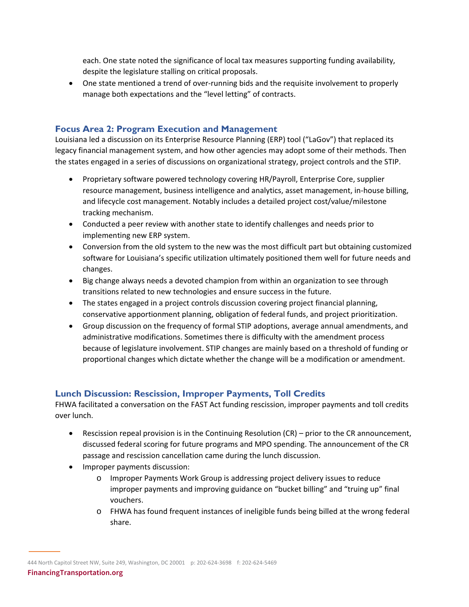each. One state noted the significance of local tax measures supporting funding availability, despite the legislature stalling on critical proposals.

• One state mentioned a trend of over-running bids and the requisite involvement to properly manage both expectations and the "level letting" of contracts.

#### **Focus Area 2: Program Execution and Management**

Louisiana led a discussion on its Enterprise Resource Planning (ERP) tool ("LaGov") that replaced its legacy financial management system, and how other agencies may adopt some of their methods. Then the states engaged in a series of discussions on organizational strategy, project controls and the STIP.

- Proprietary software powered technology covering HR/Payroll, Enterprise Core, supplier resource management, business intelligence and analytics, asset management, in-house billing, and lifecycle cost management. Notably includes a detailed project cost/value/milestone tracking mechanism.
- Conducted a peer review with another state to identify challenges and needs prior to implementing new ERP system.
- Conversion from the old system to the new was the most difficult part but obtaining customized software for Louisiana's specific utilization ultimately positioned them well for future needs and changes.
- Big change always needs a devoted champion from within an organization to see through transitions related to new technologies and ensure success in the future.
- The states engaged in a project controls discussion covering project financial planning, conservative apportionment planning, obligation of federal funds, and project prioritization.
- Group discussion on the frequency of formal STIP adoptions, average annual amendments, and administrative modifications. Sometimes there is difficulty with the amendment process because of legislature involvement. STIP changes are mainly based on a threshold of funding or proportional changes which dictate whether the change will be a modification or amendment.

#### **Lunch Discussion: Rescission, Improper Payments, Toll Credits**

FHWA facilitated a conversation on the FAST Act funding rescission, improper payments and toll credits over lunch.

- Rescission repeal provision is in the Continuing Resolution (CR) prior to the CR announcement, discussed federal scoring for future programs and MPO spending. The announcement of the CR passage and rescission cancellation came during the lunch discussion.
- Improper payments discussion:
	- o Improper Payments Work Group is addressing project delivery issues to reduce improper payments and improving guidance on "bucket billing" and "truing up" final vouchers.
	- o FHWA has found frequent instances of ineligible funds being billed at the wrong federal share.

444 North Capitol Street NW, Suite 249, Washington, DC 20001 p: 202-624-3698 f: 202-624-5469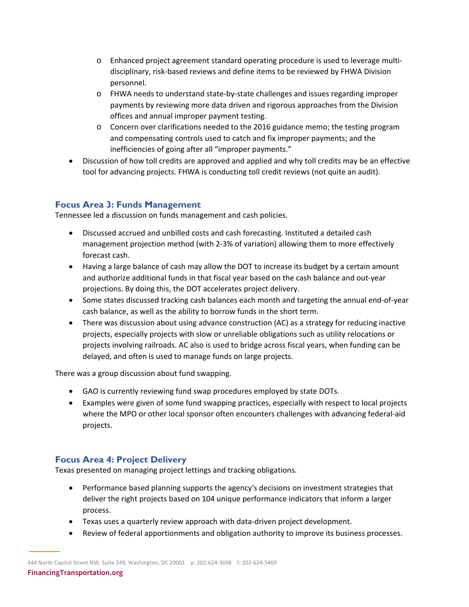- o Enhanced project agreement standard operating procedure is used to leverage multidisciplinary, risk-based reviews and define items to be reviewed by FHWA Division personnel.
- o FHWA needs to understand state-by-state challenges and issues regarding improper payments by reviewing more data driven and rigorous approaches from the Division offices and annual improper payment testing.
- o Concern over clarifications needed to the 2016 guidance memo; the testing program and compensating controls used to catch and fix improper payments; and the inefficiencies of going after all "improper payments."
- Discussion of how toll credits are approved and applied and why toll credits may be an effective tool for advancing projects. FHWA is conducting toll credit reviews (not quite an audit).

## **Focus Area 3: Funds Management**

Tennessee led a discussion on funds management and cash policies.

- Discussed accrued and unbilled costs and cash forecasting. Instituted a detailed cash management projection method (with 2-3% of variation) allowing them to more effectively forecast cash.
- Having a large balance of cash may allow the DOT to increase its budget by a certain amount and authorize additional funds in that fiscal year based on the cash balance and out-year projections. By doing this, the DOT accelerates project delivery.
- Some states discussed tracking cash balances each month and targeting the annual end-of-year cash balance, as well as the ability to borrow funds in the short term.
- There was discussion about using advance construction (AC) as a strategy for reducing inactive projects, especially projects with slow or unreliable obligations such as utility relocations or projects involving railroads. AC also is used to bridge across fiscal years, when funding can be delayed, and often is used to manage funds on large projects.

There was a group discussion about fund swapping.

- GAO is currently reviewing fund swap procedures employed by state DOTs.
- Examples were given of some fund swapping practices, especially with respect to local projects where the MPO or other local sponsor often encounters challenges with advancing federal-aid projects.

## **Focus Area 4: Project Delivery**

Texas presented on managing project lettings and tracking obligations.

- Performance based planning supports the agency's decisions on investment strategies that deliver the right projects based on 104 unique performance indicators that inform a larger process.
- Texas uses a quarterly review approach with data-driven project development.
- Review of federal apportionments and obligation authority to improve its business processes.

444 North Capitol Street NW, Suite 249, Washington, DC 20001 p: 202-624-3698 f: 202-624-5469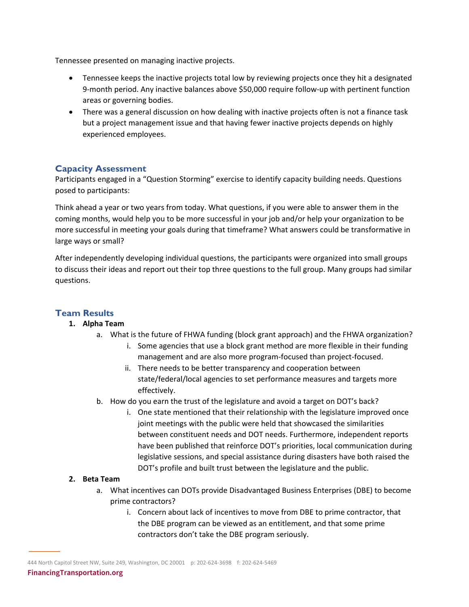Tennessee presented on managing inactive projects.

- Tennessee keeps the inactive projects total low by reviewing projects once they hit a designated 9-month period. Any inactive balances above \$50,000 require follow-up with pertinent function areas or governing bodies.
- There was a general discussion on how dealing with inactive projects often is not a finance task but a project management issue and that having fewer inactive projects depends on highly experienced employees.

#### **Capacity Assessment**

Participants engaged in a "Question Storming" exercise to identify capacity building needs. Questions posed to participants:

Think ahead a year or two years from today. What questions, if you were able to answer them in the coming months, would help you to be more successful in your job and/or help your organization to be more successful in meeting your goals during that timeframe? What answers could be transformative in large ways or small?

After independently developing individual questions, the participants were organized into small groups to discuss their ideas and report out their top three questions to the full group. Many groups had similar questions.

#### **Team Results**

#### **1. Alpha Team**

- a. What is the future of FHWA funding (block grant approach) and the FHWA organization?
	- i. Some agencies that use a block grant method are more flexible in their funding management and are also more program-focused than project-focused.
	- ii. There needs to be better transparency and cooperation between state/federal/local agencies to set performance measures and targets more effectively.
- b. How do you earn the trust of the legislature and avoid a target on DOT's back?
	- i. One state mentioned that their relationship with the legislature improved once joint meetings with the public were held that showcased the similarities between constituent needs and DOT needs. Furthermore, independent reports have been published that reinforce DOT's priorities, local communication during legislative sessions, and special assistance during disasters have both raised the DOT's profile and built trust between the legislature and the public.

#### **2. Beta Team**

- a. What incentives can DOTs provide Disadvantaged Business Enterprises (DBE) to become prime contractors?
	- i. Concern about lack of incentives to move from DBE to prime contractor, that the DBE program can be viewed as an entitlement, and that some prime contractors don't take the DBE program seriously.

444 North Capitol Street NW, Suite 249, Washington, DC 20001 p: 202-624-3698 f: 202-624-5469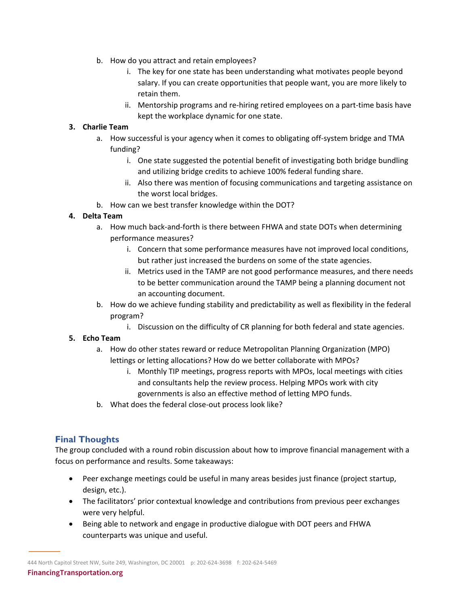- b. How do you attract and retain employees?
	- i. The key for one state has been understanding what motivates people beyond salary. If you can create opportunities that people want, you are more likely to retain them.
	- ii. Mentorship programs and re-hiring retired employees on a part-time basis have kept the workplace dynamic for one state.

#### **3. Charlie Team**

- a. How successful is your agency when it comes to obligating off-system bridge and TMA funding?
	- i. One state suggested the potential benefit of investigating both bridge bundling and utilizing bridge credits to achieve 100% federal funding share.
	- ii. Also there was mention of focusing communications and targeting assistance on the worst local bridges.
- b. How can we best transfer knowledge within the DOT?

#### **4. Delta Team**

- a. How much back-and-forth is there between FHWA and state DOTs when determining performance measures?
	- i. Concern that some performance measures have not improved local conditions, but rather just increased the burdens on some of the state agencies.
	- ii. Metrics used in the TAMP are not good performance measures, and there needs to be better communication around the TAMP being a planning document not an accounting document.
- b. How do we achieve funding stability and predictability as well as flexibility in the federal program?
	- i. Discussion on the difficulty of CR planning for both federal and state agencies.

#### **5. Echo Team**

- a. How do other states reward or reduce Metropolitan Planning Organization (MPO) lettings or letting allocations? How do we better collaborate with MPOs?
	- i. Monthly TIP meetings, progress reports with MPOs, local meetings with cities and consultants help the review process. Helping MPOs work with city governments is also an effective method of letting MPO funds.
- b. What does the federal close-out process look like?

## **Final Thoughts**

The group concluded with a round robin discussion about how to improve financial management with a focus on performance and results. Some takeaways:

- Peer exchange meetings could be useful in many areas besides just finance (project startup, design, etc.).
- The facilitators' prior contextual knowledge and contributions from previous peer exchanges were very helpful.
- Being able to network and engage in productive dialogue with DOT peers and FHWA counterparts was unique and useful.

<sup>444</sup> North Capitol Street NW, Suite 249, Washington, DC 20001 p: 202-624-3698 f: 202-624-5469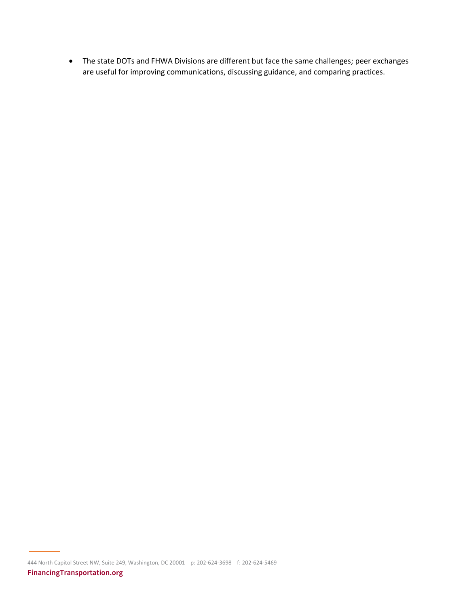• The state DOTs and FHWA Divisions are different but face the same challenges; peer exchanges are useful for improving communications, discussing guidance, and comparing practices.

444 North Capitol Street NW, Suite 249, Washington, DC 20001 p: 202-624-3698 f: 202-624-5469